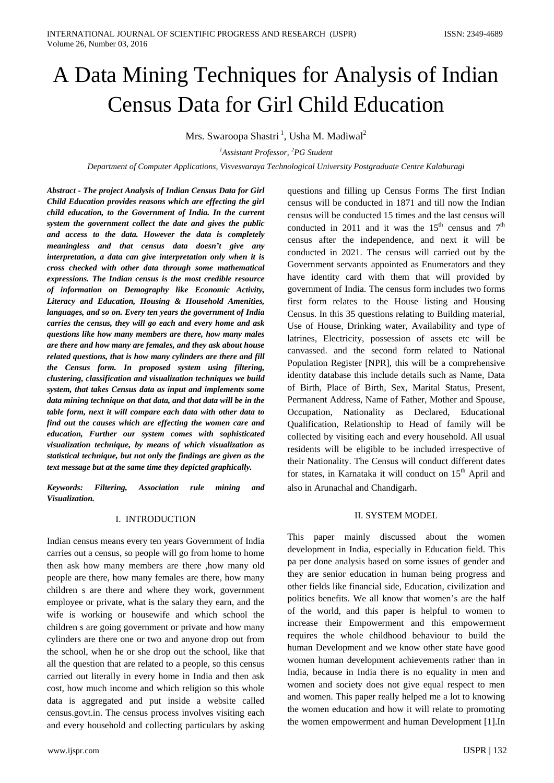# A Data Mining Techniques for Analysis of Indian Census Data for Girl Child Education

Mrs. Swaroopa Shastri <sup>1</sup>, Usha M. Madiwal<sup>2</sup>

*1 Assistant Professor, <sup>2</sup> PG Student* 

*Department of Computer Applications, Visvesvaraya Technological University Postgraduate Centre Kalaburagi*

*Abstract - The project Analysis of Indian Census Data for Girl Child Education provides reasons which are effecting the girl child education, to the Government of India. In the current system the government collect the date and gives the public and access to the data. However the data is completely meaningless and that census data doesn't give any interpretation, a data can give interpretation only when it is cross checked with other data through some mathematical expressions. The Indian census is the most credible resource of information on Demography like Economic Activity, Literacy and Education, Housing & Household Amenities, languages, and so on. Every ten years the government of India carries the census, they will go each and every home and ask questions like how many members are there, how many males are there and how many are females, and they ask about house related questions, that is how many cylinders are there and fill the Census form. In proposed system using filtering, clustering, classification and visualization techniques we build system, that takes Census data as input and implements some data mining technique on that data, and that data will be in the table form, next it will compare each data with other data to find out the causes which are effecting the women care and education, Further our system comes with sophisticated visualization technique, by means of which visualization as statistical technique, but not only the findings are given as the text message but at the same time they depicted graphically.*

*Keywords: Filtering, Association rule mining and Visualization.*

#### I. INTRODUCTION

Indian census means every ten years Government of India carries out a census, so people will go from home to home then ask how many members are there ,how many old people are there, how many females are there, how many children s are there and where they work, government employee or private, what is the salary they earn, and the wife is working or housewife and which school the children s are going government or private and how many cylinders are there one or two and anyone drop out from the school, when he or she drop out the school, like that all the question that are related to a people, so this census carried out literally in every home in India and then ask cost, how much income and which religion so this whole data is aggregated and put inside a website called census.govt.in. The census process involves visiting each and every household and collecting particulars by asking questions and filling up Census Forms The first Indian census will be conducted in 1871 and till now the Indian census will be conducted 15 times and the last census will conducted in 2011 and it was the  $15<sup>th</sup>$  census and  $7<sup>th</sup>$ census after the independence, and next it will be conducted in 2021. The census will carried out by the Government servants appointed as Enumerators and they have identity card with them that will provided by government of India. The census form includes two forms first form relates to the House listing and Housing Census. In this 35 questions relating to Building material, Use of House, Drinking water, Availability and type of latrines, Electricity, possession of assets etc will be canvassed. and the second form related to National Population Register [NPR], this will be a comprehensive identity database this include details such as Name, Data of Birth, Place of Birth, Sex, Marital Status, Present, Permanent Address, Name of Father, Mother and Spouse, Occupation, Nationality as Declared, Educational Qualification, Relationship to Head of family will be collected by visiting each and every household. All usual residents will be eligible to be included irrespective of their Nationality. The Census will conduct different dates for states, in Karnataka it will conduct on 15<sup>th</sup> April and also in Arunachal and Chandigarh.

# II. SYSTEM MODEL

This paper mainly discussed about the women development in India, especially in Education field. This pa per done analysis based on some issues of gender and they are senior education in human being progress and other fields like financial side, Education, civilization and politics benefits. We all know that women's are the half of the world, and this paper is helpful to women to increase their Empowerment and this empowerment requires the whole childhood behaviour to build the human Development and we know other state have good women human development achievements rather than in India, because in India there is no equality in men and women and society does not give equal respect to men and women. This paper really helped me a lot to knowing the women education and how it will relate to promoting the women empowerment and human Development [1].In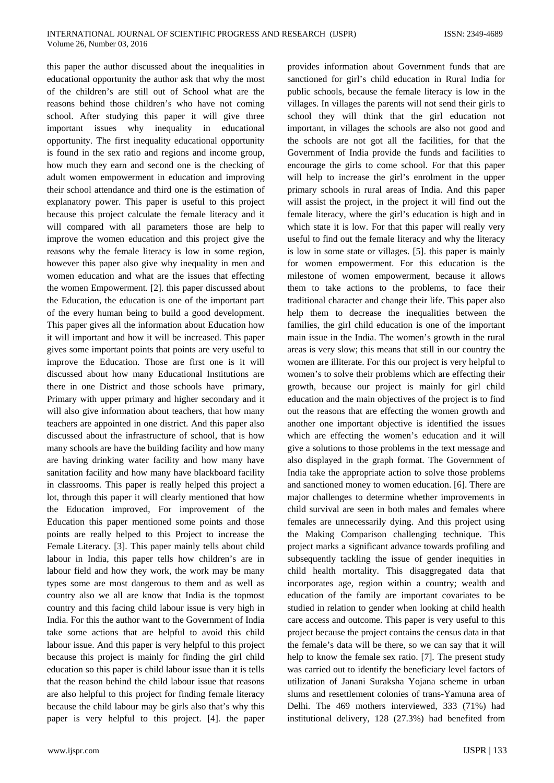this paper the author discussed about the inequalities in educational opportunity the author ask that why the most of the children's are still out of School what are the reasons behind those children's who have not coming school. After studying this paper it will give three important issues why inequality in educational opportunity. The first inequality educational opportunity is found in the sex ratio and regions and income group, how much they earn and second one is the checking of adult women empowerment in education and improving their school attendance and third one is the estimation of explanatory power. This paper is useful to this project because this project calculate the female literacy and it will compared with all parameters those are help to improve the women education and this project give the reasons why the female literacy is low in some region, however this paper also give why inequality in men and women education and what are the issues that effecting the women Empowerment. [2]. this paper discussed about the Education, the education is one of the important part of the every human being to build a good development. This paper gives all the information about Education how it will important and how it will be increased. This paper gives some important points that points are very useful to improve the Education. Those are first one is it will discussed about how many Educational Institutions are there in one District and those schools have primary, Primary with upper primary and higher secondary and it will also give information about teachers, that how many teachers are appointed in one district. And this paper also discussed about the infrastructure of school, that is how many schools are have the building facility and how many are having drinking water facility and how many have sanitation facility and how many have blackboard facility in classrooms. This paper is really helped this project a lot, through this paper it will clearly mentioned that how the Education improved, For improvement of the Education this paper mentioned some points and those points are really helped to this Project to increase the Female Literacy. [3]. This paper mainly tells about child labour in India, this paper tells how children's are in labour field and how they work, the work may be many types some are most dangerous to them and as well as country also we all are know that India is the topmost country and this facing child labour issue is very high in India. For this the author want to the Government of India take some actions that are helpful to avoid this child labour issue. And this paper is very helpful to this project because this project is mainly for finding the girl child education so this paper is child labour issue than it is tells that the reason behind the child labour issue that reasons are also helpful to this project for finding female literacy because the child labour may be girls also that's why this paper is very helpful to this project. [4]. the paper provides information about Government funds that are sanctioned for girl's child education in Rural India for public schools, because the female literacy is low in the villages. In villages the parents will not send their girls to school they will think that the girl education not important, in villages the schools are also not good and the schools are not got all the facilities, for that the Government of India provide the funds and facilities to encourage the girls to come school. For that this paper will help to increase the girl's enrolment in the upper primary schools in rural areas of India. And this paper will assist the project, in the project it will find out the female literacy, where the girl's education is high and in which state it is low. For that this paper will really very useful to find out the female literacy and why the literacy is low in some state or villages. [5]. this paper is mainly for women empowerment. For this education is the milestone of women empowerment, because it allows them to take actions to the problems, to face their traditional character and change their life. This paper also help them to decrease the inequalities between the families, the girl child education is one of the important main issue in the India. The women's growth in the rural areas is very slow; this means that still in our country the women are illiterate. For this our project is very helpful to women's to solve their problems which are effecting their growth, because our project is mainly for girl child education and the main objectives of the project is to find out the reasons that are effecting the women growth and another one important objective is identified the issues which are effecting the women's education and it will give a solutions to those problems in the text message and also displayed in the graph format. The Government of India take the appropriate action to solve those problems and sanctioned money to women education. [6]. There are major challenges to determine whether improvements in child survival are seen in both males and females where females are unnecessarily dying. And this project using the Making Comparison challenging technique. This project marks a significant advance towards profiling and subsequently tackling the issue of gender inequities in child health mortality. This disaggregated data that incorporates age, region within a country; wealth and education of the family are important covariates to be studied in relation to gender when looking at child health care access and outcome. This paper is very useful to this project because the project contains the census data in that the female's data will be there, so we can say that it will help to know the female sex ratio. [7]. The present study was carried out to identify the beneficiary level factors of utilization of Janani Suraksha Yojana scheme in urban slums and resettlement colonies of trans-Yamuna area of Delhi. The 469 mothers interviewed, 333 (71%) had institutional delivery, 128 (27.3%) had benefited from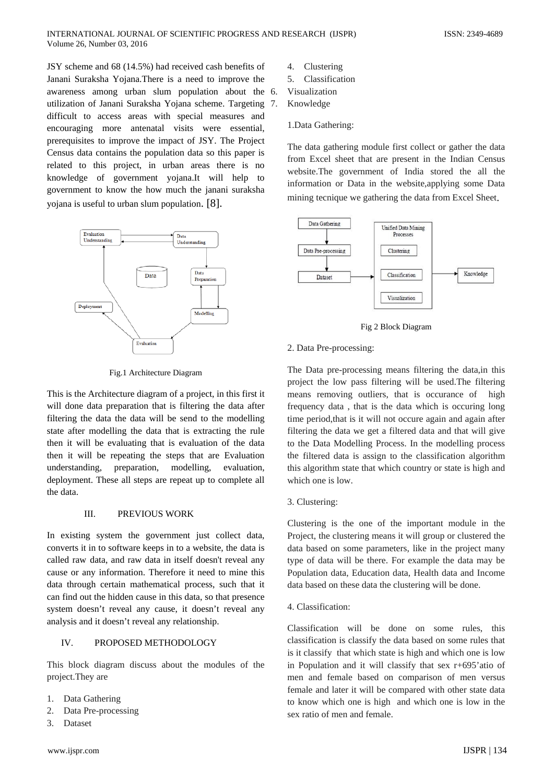JSY scheme and 68 (14.5%) had received cash benefits of Janani Suraksha Yojana.There is a need to improve the awareness among urban slum population about the utilization of Janani Suraksha Yojana scheme. Targeting difficult to access areas with special measures and encouraging more antenatal visits were essential, prerequisites to improve the impact of JSY. The Project Census data contains the population data so this paper is related to this project, in urban areas there is no knowledge of government yojana.It will help to government to know the how much the janani suraksha yojana is useful to urban slum population. [8].



Fig.1 Architecture Diagram

This is the Architecture diagram of a project, in this first it will done data preparation that is filtering the data after filtering the data the data will be send to the modelling state after modelling the data that is extracting the rule then it will be evaluating that is evaluation of the data then it will be repeating the steps that are Evaluation understanding, preparation, modelling, evaluation, deployment. These all steps are repeat up to complete all the data.

#### III. PREVIOUS WORK

In existing system the government just collect data, converts it in to software keeps in to a website, the data is called raw data, and raw data in itself doesn't reveal any cause or any information. Therefore it need to mine this data through certain mathematical process, such that it can find out the hidden cause in this data, so that presence system doesn't reveal any cause, it doesn't reveal any analysis and it doesn't reveal any relationship.

#### IV. PROPOSED METHODOLOGY

This block diagram discuss about the modules of the project.They are

- 1. Data Gathering
- 2. Data Pre-processing
- 3. Dataset
- 4. Clustering
- 5. Classification
- **Visualization**
- 7. Knowledge

#### 1.Data Gathering:

The data gathering module first collect or gather the data from Excel sheet that are present in the Indian Census website.The government of India stored the all the information or Data in the website,applying some Data mining tecnique we gathering the data from Excel Sheet.



Fig 2 Block Diagram

#### 2. Data Pre-processing:

The Data pre-processing means filtering the data,in this project the low pass filtering will be used.The filtering means removing outliers, that is occurance of high frequency data , that is the data which is occuring long time period,that is it will not occure again and again after filtering the data we get a filtered data and that will give to the Data Modelling Process. In the modelling process the filtered data is assign to the classification algorithm this algorithm state that which country or state is high and which one is low.

3. Clustering:

Clustering is the one of the important module in the Project, the clustering means it will group or clustered the data based on some parameters, like in the project many type of data will be there. For example the data may be Population data, Education data, Health data and Income data based on these data the clustering will be done.

4. Classification:

Classification will be done on some rules, this classification is classify the data based on some rules that is it classify that which state is high and which one is low in Population and it will classify that sex r+695'atio of men and female based on comparison of men versus female and later it will be compared with other state data to know which one is high and which one is low in the sex ratio of men and female.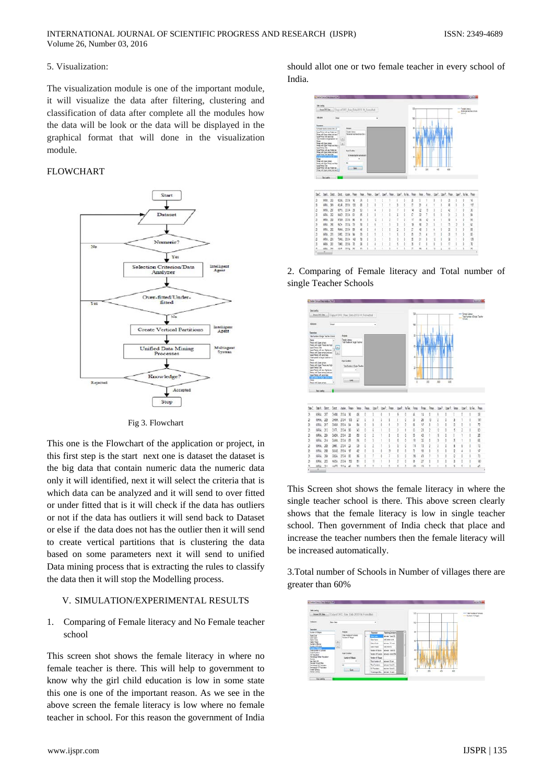#### 5. Visualization:

The visualization module is one of the important module, it will visualize the data after filtering, clustering and classification of data after complete all the modules how the data will be look or the data will be displayed in the graphical format that will done in the visualization module.

# FLOWCHART



Fig 3. Flowchart

This one is the Flowchart of the application or project, in this first step is the start next one is dataset the dataset is the big data that contain numeric data the numeric data only it will identified, next it will select the criteria that is which data can be analyzed and it will send to over fitted or under fitted that is it will check if the data has outliers or not if the data has outliers it will send back to Dataset or else if the data does not has the outlier then it will send to create vertical partitions that is clustering the data based on some parameters next it will send to unified Data mining process that is extracting the rules to classify the data then it will stop the Modelling process.

#### V. SIMULATION/EXPERIMENTAL RESULTS

1. Comparing of Female literacy and No Female teacher school

This screen shot shows the female literacy in where no female teacher is there. This will help to government to know why the girl child education is low in some state this one is one of the important reason. As we see in the above screen the female literacy is low where no female teacher in school. For this reason the government of India should allot one or two female teacher in every school of India.



2. Comparing of Female literacy and Total number of single Teacher Schools



This Screen shot shows the female literacy in where the single teacher school is there. This above screen clearly shows that the female literacy is low in single teacher school. Then government of India check that place and increase the teacher numbers then the female literacy will be increased automatically.

3.Total number of Schools in Number of villages there are greater than 60%

| <b>Idelands</b><br><b>Boxes D'C Gas</b> |        | Copy of DVC Raw Data 2013-14 Formulant          |     |                          |                                          |   | 130 |            |     | <b>Kumbon of Cultivate</b> |
|-----------------------------------------|--------|-------------------------------------------------|-----|--------------------------|------------------------------------------|---|-----|------------|-----|----------------------------|
|                                         |        |                                                 |     |                          |                                          |   |     |            |     | - Norton of Jinger         |
| kause                                   | berte. |                                                 |     | ٠                        |                                          |   | 100 |            |     |                            |
| <b>Features</b>                         |        |                                                 |     |                          |                                          |   |     |            |     |                            |
| <b>Solar &amp; Varger</b>               |        | Anglett                                         |     | <b>Parameter</b>         | <b>HechnoCenture</b>                     | × | ×   |            |     |                            |
| Ban Cole<br>Jan Ser<br>Sens Cole        |        | Top luxur of Screen<br><b>Summer of Streets</b> | is. | <b>Service</b>           | <b>Internet Tard 35</b>                  |   |     |            |     |                            |
| Dates Rose<br>Nortes of Bisite          |        |                                                 |     | <b>See New</b>           | ARTHOUGH & MC                            |   | w   |            |     |                            |
|                                         | 画      |                                                 |     | <b>Date: Code</b>        | Moon 10 and                              |   |     |            |     |                            |
| tode Filiate<br><b>PER P</b>            | ω      |                                                 |     | <b>Camer State</b>       | AKIANAS                                  |   |     |            |     |                            |
| Instrument Come                         |        |                                                 |     | <b>System of Seconds</b> | hanges 1 and 10                          |   | 16h |            |     |                            |
| <b>Targ Policies</b><br>14 Flery Mot    |        | <b>Hall Circles</b>                             |     |                          | fundament Countries Thampson at new 1994 |   |     |            |     |                            |
| Petersoa Ober Foundat                   |        | <b>Nation of Village</b>                        |     | Notice of Magaz          |                                          |   | #E  |            |     |                            |
| Sores<br>Sa Falo St<br>Social South Ree |        |                                                 |     | Total Norther of         | beyon \$2 and                            |   |     |            |     |                            |
| <b>Northean S. Procedure</b>            |        | $\overline{a}$                                  |     | Toy Folder               | bewerket.                                |   |     |            |     |                            |
| <b><i>Personal ET/Vesition</i></b>      |        | Gost                                            |     | 54 Passiator             | bewer Eye 1                              |   | 54  |            |     |                            |
| <b>Leal Gency</b><br>Geographics        |        |                                                 |     |                          | Teacher He, Done - East                  |   | 78  | 200<br>400 | 431 |                            |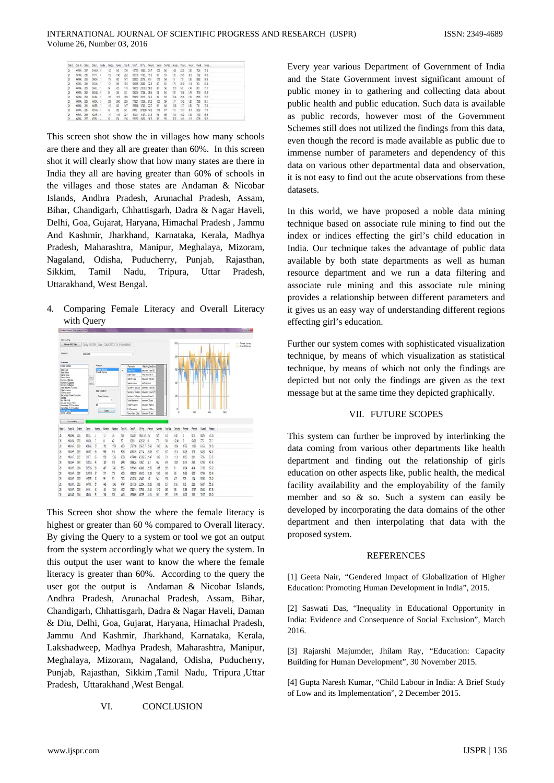|       |  | San'l, San's, Sand, Sand, Nudar, Nudar, Nudar, Tasil, Tasil, 1979, Tecnt, Secon, Secola, Pecet, Pecet, Pecet, Pende, Pecek, |  |  |  |  |  |  |              |  |
|-------|--|-----------------------------------------------------------------------------------------------------------------------------|--|--|--|--|--|--|--------------|--|
|       |  | 3 686 20 686 1 10 50 10 11:30 100 27 100 50 41 11:3 12: 33 13                                                               |  |  |  |  |  |  |              |  |
|       |  | 25 6096, 280 6474, 6 12 116 232 6637 1705, 63 66 69 69 69 69 69 69                                                          |  |  |  |  |  |  |              |  |
|       |  | 29 64764 250 54694 7 70 410 147 200 2010 2010 415 101 148 151 170 134 102 103                                               |  |  |  |  |  |  |              |  |
|       |  | 2 696, 296 096, 7 17 18 18 1905 206 217 17 18 17 210 18 31 19 32                                                            |  |  |  |  |  |  |              |  |
| $2-$  |  | 686 29 346 7 8 45 10 100 200 200 90 60 90 50 10 42 61 75                                                                    |  |  |  |  |  |  |              |  |
| $3 -$ |  | 4994, 252 6404, 4 14 15 14 14 15 15 16 17 18 18 19 19 19 19 19 19 19 19 19 19                                               |  |  |  |  |  |  |              |  |
|       |  | 3 WH. 2N GUL 1 10 103 23 2642 221 14 12 13 13 13 13 23 14                                                                   |  |  |  |  |  |  |              |  |
| $3 -$ |  | ANNA 200 WEALT 20 200 200 YOU SEEL 2.0 105 59 17 19 10 12 35 01                                                             |  |  |  |  |  |  |              |  |
| B.    |  | 6000 201 900 7 10 10 10 10 10 900 100 227 81 95 113 117 128 716 716                                                         |  |  |  |  |  |  |              |  |
|       |  | 3 696.22 616.1 4 20 90 900 900 90 01 11 11 12 14                                                                            |  |  |  |  |  |  | <b>CO 78</b> |  |
| s.    |  | ANNO 255 CLUB 6 10 105 221 9023 918, 2.3 93 99 113 123 133 143 89                                                           |  |  |  |  |  |  |              |  |
|       |  | N ARE NO PUR / B PL YR WHO WAS NO BY TO THE ON RY                                                                           |  |  |  |  |  |  |              |  |

This screen shot show the in villages how many schools are there and they all are greater than 60%. In this screen shot it will clearly show that how many states are there in India they all are having greater than 60% of schools in the villages and those states are Andaman & Nicobar Islands, Andhra Pradesh, Arunachal Pradesh, Assam, Bihar, Chandigarh, Chhattisgarh, Dadra & Nagar Haveli, Delhi, Goa, Gujarat, Haryana, Himachal Pradesh , Jammu And Kashmir, Jharkhand, Karnataka, Kerala, Madhya Pradesh, Maharashtra, Manipur, Meghalaya, Mizoram, Nagaland, Odisha, Puducherry, Punjab, Rajasthan, Sikkim, Tamil Nadu, Tripura, Uttar Pradesh, Uttarakhand, West Bengal.

4. Comparing Female Literacy and Overall Literacy with Query



This Screen shot show the where the female literacy is highest or greater than 60 % compared to Overall literacy. By giving the Query to a system or tool we got an output from the system accordingly what we query the system. In this output the user want to know the where the female literacy is greater than 60%. According to the query the user got the output is Andaman & Nicobar Islands, Andhra Pradesh, Arunachal Pradesh, Assam, Bihar, Chandigarh, Chhattisgarh, Dadra & Nagar Haveli, Daman & Diu, Delhi, Goa, Gujarat, Haryana, Himachal Pradesh, Jammu And Kashmir, Jharkhand, Karnataka, Kerala, Lakshadweep, Madhya Pradesh, Maharashtra, Manipur, Meghalaya, Mizoram, Nagaland, Odisha, Puducherry, Punjab, Rajasthan, Sikkim ,Tamil Nadu, Tripura ,Uttar Pradesh, Uttarakhand ,West Bengal.

VI. CONCLUSION

Every year various Department of Government of India and the State Government invest significant amount of public money in to gathering and collecting data about public health and public education. Such data is available as public records, however most of the Government Schemes still does not utilized the findings from this data, even though the record is made available as public due to immense number of parameters and dependency of this data on various other departmental data and observation, it is not easy to find out the acute observations from these datasets.

In this world, we have proposed a noble data mining technique based on associate rule mining to find out the index or indices effecting the girl's child education in India. Our technique takes the advantage of public data available by both state departments as well as human resource department and we run a data filtering and associate rule mining and this associate rule mining provides a relationship between different parameters and it gives us an easy way of understanding different regions effecting girl's education.

Further our system comes with sophisticated visualization technique, by means of which visualization as statistical technique, by means of which not only the findings are depicted but not only the findings are given as the text message but at the same time they depicted graphically.

## VII. FUTURE SCOPES

This system can further be improved by interlinking the data coming from various other departments like health department and finding out the relationship of girls education on other aspects like, public health, the medical facility availability and the employability of the family member and so & so. Such a system can easily be developed by incorporating the data domains of the other department and then interpolating that data with the proposed system.

## **REFERENCES**

[1] Geeta Nair*, "*Gendered Impact of Globalization of Higher Education: Promoting Human Development in India", 2015.

[2] Saswati Das, "Inequality in Educational Opportunity in India: Evidence and Consequence of Social Exclusion", March 2016.

[3] Rajarshi Majumder, Jhilam Ray, "Education: Capacity Building for Human Development", 30 November 2015.

[4] Gupta Naresh Kumar*,* "Child Labour in India: A Brief Study of Low and its Implementation", 2 December 2015.